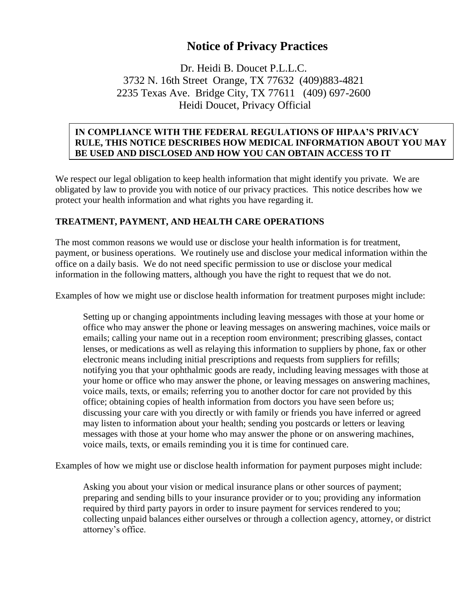# **Notice of Privacy Practices**

Dr. Heidi B. Doucet P.L.L.C. 3732 N. 16th Street Orange, TX 77632 (409)883-4821 2235 Texas Ave. Bridge City, TX 77611 (409) 697-2600 Heidi Doucet, Privacy Official

#### **IN COMPLIANCE WITH THE FEDERAL REGULATIONS OF HIPAA'S PRIVACY RULE, THIS NOTICE DESCRIBES HOW MEDICAL INFORMATION ABOUT YOU MAY BE USED AND DISCLOSED AND HOW YOU CAN OBTAIN ACCESS TO IT**

We respect our legal obligation to keep health information that might identify you private. We are obligated by law to provide you with notice of our privacy practices. This notice describes how we protect your health information and what rights you have regarding it.

#### **TREATMENT, PAYMENT, AND HEALTH CARE OPERATIONS**

**iTINFORMATION. PLEASE REVIEW IT CAREFULLY**

The most common reasons we would use or disclose your health information is for treatment, payment, or business operations. We routinely use and disclose your medical information within the office on a daily basis. We do not need specific permission to use or disclose your medical information in the following matters, although you have the right to request that we do not.

Examples of how we might use or disclose health information for treatment purposes might include:

Setting up or changing appointments including leaving messages with those at your home or office who may answer the phone or leaving messages on answering machines, voice mails or emails; calling your name out in a reception room environment; prescribing glasses, contact lenses, or medications as well as relaying this information to suppliers by phone, fax or other electronic means including initial prescriptions and requests from suppliers for refills; notifying you that your ophthalmic goods are ready, including leaving messages with those at your home or office who may answer the phone, or leaving messages on answering machines, voice mails, texts, or emails; referring you to another doctor for care not provided by this office; obtaining copies of health information from doctors you have seen before us; discussing your care with you directly or with family or friends you have inferred or agreed may listen to information about your health; sending you postcards or letters or leaving messages with those at your home who may answer the phone or on answering machines, voice mails, texts, or emails reminding you it is time for continued care.

Examples of how we might use or disclose health information for payment purposes might include:

Asking you about your vision or medical insurance plans or other sources of payment; preparing and sending bills to your insurance provider or to you; providing any information required by third party payors in order to insure payment for services rendered to you; collecting unpaid balances either ourselves or through a collection agency, attorney, or district attorney's office.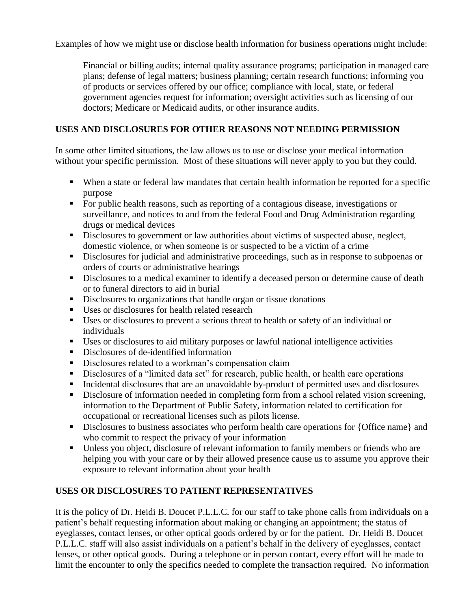Examples of how we might use or disclose health information for business operations might include:

Financial or billing audits; internal quality assurance programs; participation in managed care plans; defense of legal matters; business planning; certain research functions; informing you of products or services offered by our office; compliance with local, state, or federal government agencies request for information; oversight activities such as licensing of our doctors; Medicare or Medicaid audits, or other insurance audits.

# **USES AND DISCLOSURES FOR OTHER REASONS NOT NEEDING PERMISSION**

In some other limited situations, the law allows us to use or disclose your medical information without your specific permission. Most of these situations will never apply to you but they could.

- When a state or federal law mandates that certain health information be reported for a specific purpose
- For public health reasons, such as reporting of a contagious disease, investigations or surveillance, and notices to and from the federal Food and Drug Administration regarding drugs or medical devices
- Disclosures to government or law authorities about victims of suspected abuse, neglect, domestic violence, or when someone is or suspected to be a victim of a crime
- Disclosures for judicial and administrative proceedings, such as in response to subpoenas or orders of courts or administrative hearings
- Disclosures to a medical examiner to identify a deceased person or determine cause of death or to funeral directors to aid in burial
- Disclosures to organizations that handle organ or tissue donations
- Uses or disclosures for health related research
- Uses or disclosures to prevent a serious threat to health or safety of an individual or individuals
- Uses or disclosures to aid military purposes or lawful national intelligence activities
- Disclosures of de-identified information
- Disclosures related to a workman's compensation claim
- Disclosures of a "limited data set" for research, public health, or health care operations
- Incidental disclosures that are an unavoidable by-product of permitted uses and disclosures
- Disclosure of information needed in completing form from a school related vision screening, information to the Department of Public Safety, information related to certification for occupational or recreational licenses such as pilots license.
- Disclosures to business associates who perform health care operations for {Office name} and who commit to respect the privacy of your information
- Unless you object, disclosure of relevant information to family members or friends who are helping you with your care or by their allowed presence cause us to assume you approve their exposure to relevant information about your health

# **USES OR DISCLOSURES TO PATIENT REPRESENTATIVES**

It is the policy of Dr. Heidi B. Doucet P.L.L.C. for our staff to take phone calls from individuals on a patient's behalf requesting information about making or changing an appointment; the status of eyeglasses, contact lenses, or other optical goods ordered by or for the patient. Dr. Heidi B. Doucet P.L.L.C. staff will also assist individuals on a patient's behalf in the delivery of eyeglasses, contact lenses, or other optical goods. During a telephone or in person contact, every effort will be made to limit the encounter to only the specifics needed to complete the transaction required. No information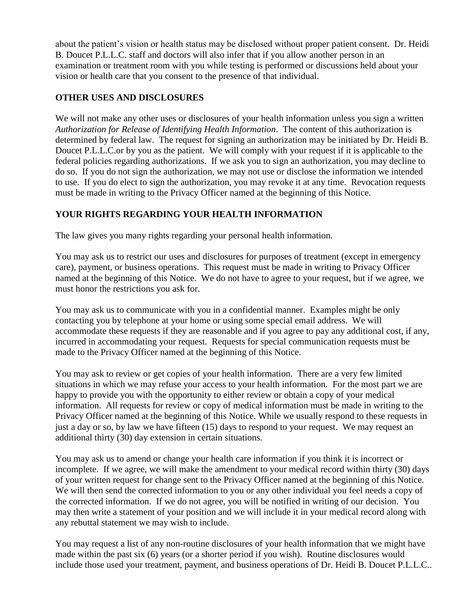about the patient's vision or health status may be disclosed without proper patient consent. Dr. Heidi B. Doucet P.L.L.C. staff and doctors will also infer that if you allow another person in an examination or treatment room with you while testing is performed or discussions held about your vision or health care that you consent to the presence of that individual.

# **OTHER USES AND DISCLOSURES**

We will not make any other uses or disclosures of your health information unless you sign a written *Authorization for Release of Identifying Health Information*. The content of this authorization is determined by federal law. The request for signing an authorization may be initiated by Dr. Heidi B. Doucet P.L.L.C.or by you as the patient. We will comply with your request if it is applicable to the federal policies regarding authorizations. If we ask you to sign an authorization, you may decline to do so. If you do not sign the authorization, we may not use or disclose the information we intended to use. If you do elect to sign the authorization, you may revoke it at any time. Revocation requests must be made in writing to the Privacy Officer named at the beginning of this Notice.

# **YOUR RIGHTS REGARDING YOUR HEALTH INFORMATION**

The law gives you many rights regarding your personal health information.

You may ask us to restrict our uses and disclosures for purposes of treatment (except in emergency care), payment, or business operations. This request must be made in writing to Privacy Officer named at the beginning of this Notice. We do not have to agree to your request, but if we agree, we must honor the restrictions you ask for.

You may ask us to communicate with you in a confidential manner. Examples might be only contacting you by telephone at your home or using some special email address. We will accommodate these requests if they are reasonable and if you agree to pay any additional cost, if any, incurred in accommodating your request. Requests for special communication requests must be made to the Privacy Officer named at the beginning of this Notice.

You may ask to review or get copies of your health information. There are a very few limited situations in which we may refuse your access to your health information. For the most part we are happy to provide you with the opportunity to either review or obtain a copy of your medical information. All requests for review or copy of medical information must be made in writing to the Privacy Officer named at the beginning of this Notice. While we usually respond to these requests in just a day or so, by law we have fifteen (15) days to respond to your request. We may request an additional thirty (30) day extension in certain situations.

You may ask us to amend or change your health care information if you think it is incorrect or incomplete. If we agree, we will make the amendment to your medical record within thirty (30) days of your written request for change sent to the Privacy Officer named at the beginning of this Notice. We will then send the corrected information to you or any other individual you feel needs a copy of the corrected information. If we do not agree, you will be notified in writing of our decision. You may then write a statement of your position and we will include it in your medical record along with any rebuttal statement we may wish to include.

You may request a list of any non-routine disclosures of your health information that we might have made within the past six (6) years (or a shorter period if you wish). Routine disclosures would include those used your treatment, payment, and business operations of Dr. Heidi B. Doucet P.L.L.C..